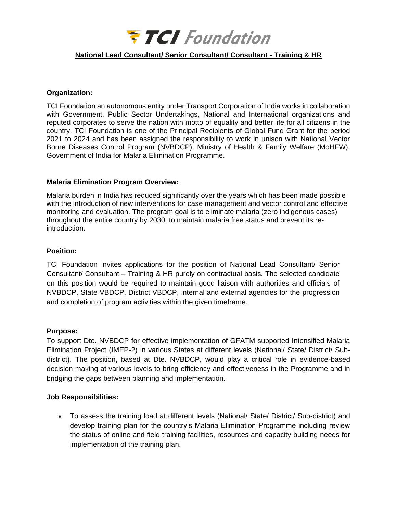

## **National Lead Consultant/ Senior Consultant/ Consultant - Training & HR**

#### **Organization:**

TCI Foundation an autonomous entity under Transport Corporation of India works in collaboration with Government, Public Sector Undertakings, National and International organizations and reputed corporates to serve the nation with motto of equality and better life for all citizens in the country. TCI Foundation is one of the Principal Recipients of Global Fund Grant for the period 2021 to 2024 and has been assigned the responsibility to work in unison with National Vector Borne Diseases Control Program (NVBDCP), Ministry of Health & Family Welfare (MoHFW), Government of India for Malaria Elimination Programme.

#### **Malaria Elimination Program Overview:**

Malaria burden in India has reduced significantly over the years which has been made possible with the introduction of new interventions for case management and vector control and effective monitoring and evaluation. The program goal is to eliminate malaria (zero indigenous cases) throughout the entire country by 2030, to maintain malaria free status and prevent its reintroduction.

#### **Position:**

TCI Foundation invites applications for the position of National Lead Consultant/ Senior Consultant/ Consultant – Training & HR purely on contractual basis. The selected candidate on this position would be required to maintain good liaison with authorities and officials of NVBDCP, State VBDCP, District VBDCP, internal and external agencies for the progression and completion of program activities within the given timeframe.

#### **Purpose:**

To support Dte. NVBDCP for effective implementation of GFATM supported Intensified Malaria Elimination Project (IMEP-2) in various States at different levels (National/ State/ District/ Subdistrict). The position, based at Dte. NVBDCP, would play a critical role in evidence-based decision making at various levels to bring efficiency and effectiveness in the Programme and in bridging the gaps between planning and implementation.

#### **Job Responsibilities:**

• To assess the training load at different levels (National/ State/ District/ Sub-district) and develop training plan for the country's Malaria Elimination Programme including review the status of online and field training facilities, resources and capacity building needs for implementation of the training plan.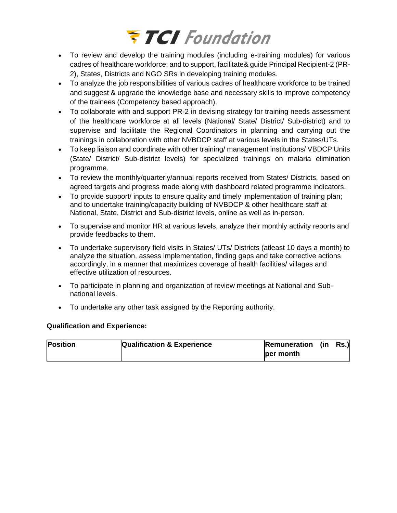# **FTCI** Foundation

- To review and develop the training modules (including e-training modules) for various cadres of healthcare workforce; and to support, facilitate& guide Principal Recipient-2 (PR-2), States, Districts and NGO SRs in developing training modules.
- To analyze the job responsibilities of various cadres of healthcare workforce to be trained and suggest & upgrade the knowledge base and necessary skills to improve competency of the trainees (Competency based approach).
- To collaborate with and support PR-2 in devising strategy for training needs assessment of the healthcare workforce at all levels (National/ State/ District/ Sub-district) and to supervise and facilitate the Regional Coordinators in planning and carrying out the trainings in collaboration with other NVBDCP staff at various levels in the States/UTs.
- To keep liaison and coordinate with other training/ management institutions/ VBDCP Units (State/ District/ Sub-district levels) for specialized trainings on malaria elimination programme.
- To review the monthly/quarterly/annual reports received from States/ Districts, based on agreed targets and progress made along with dashboard related programme indicators.
- To provide support/ inputs to ensure quality and timely implementation of training plan; and to undertake training/capacity building of NVBDCP & other healthcare staff at National, State, District and Sub-district levels, online as well as in-person.
- To supervise and monitor HR at various levels, analyze their monthly activity reports and provide feedbacks to them.
- To undertake supervisory field visits in States/ UTs/ Districts (atleast 10 days a month) to analyze the situation, assess implementation, finding gaps and take corrective actions accordingly, in a manner that maximizes coverage of health facilities/ villages and effective utilization of resources.
- To participate in planning and organization of review meetings at National and Subnational levels.
- To undertake any other task assigned by the Reporting authority.

# **Qualification and Experience:**

| <b>Position</b> | <b>Qualification &amp; Experience</b> | <b>Remuneration</b> (in | Rs.) |
|-----------------|---------------------------------------|-------------------------|------|
|                 |                                       | ber month               |      |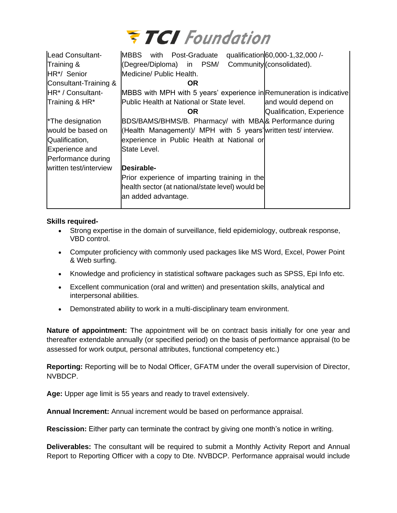

| Lead Consultant-              | qualification 60,000-1,32,000 /-<br>MBBS with<br>Post-Graduate       |
|-------------------------------|----------------------------------------------------------------------|
| Training &                    | Community (consolidated).<br>(Degree/Diploma) in PSM/                |
| HR*/ Senior                   | Medicine/ Public Health.                                             |
| Consultant-Training &         | OR.                                                                  |
| HR <sup>*</sup> / Consultant- | MBBS with MPH with 5 years' experience in Remuneration is indicative |
| Training & HR*                | Public Health at National or State level.<br>and would depend on     |
|                               | Qualification, Experience<br>OR.                                     |
| *The designation              | BDS/BAMS/BHMS/B. Pharmacy/ with MBA & Performance during             |
| would be based on             | (Health Management)/ MPH with 5 years' written test/interview.       |
| Qualification,                | experience in Public Health at National or                           |
| Experience and                | State Level.                                                         |
| Performance during            |                                                                      |
| written test/interview        | Desirable-                                                           |
|                               | Prior experience of imparting training in the                        |
|                               | health sector (at national/state level) would be                     |
|                               | an added advantage.                                                  |
|                               |                                                                      |

### **Skills required-**

- Strong expertise in the domain of surveillance, field epidemiology, outbreak response, VBD control.
- Computer proficiency with commonly used packages like MS Word, Excel, Power Point & Web surfing.
- Knowledge and proficiency in statistical software packages such as SPSS, Epi Info etc.
- Excellent communication (oral and written) and presentation skills, analytical and interpersonal abilities.
- Demonstrated ability to work in a multi-disciplinary team environment.

**Nature of appointment:** The appointment will be on contract basis initially for one year and thereafter extendable annually (or specified period) on the basis of performance appraisal (to be assessed for work output, personal attributes, functional competency etc.)

**Reporting:** Reporting will be to Nodal Officer, GFATM under the overall supervision of Director, NVBDCP.

**Age:** Upper age limit is 55 years and ready to travel extensively.

**Annual Increment:** Annual increment would be based on performance appraisal.

**Rescission:** Either party can terminate the contract by giving one month's notice in writing.

**Deliverables:** The consultant will be required to submit a Monthly Activity Report and Annual Report to Reporting Officer with a copy to Dte. NVBDCP. Performance appraisal would include